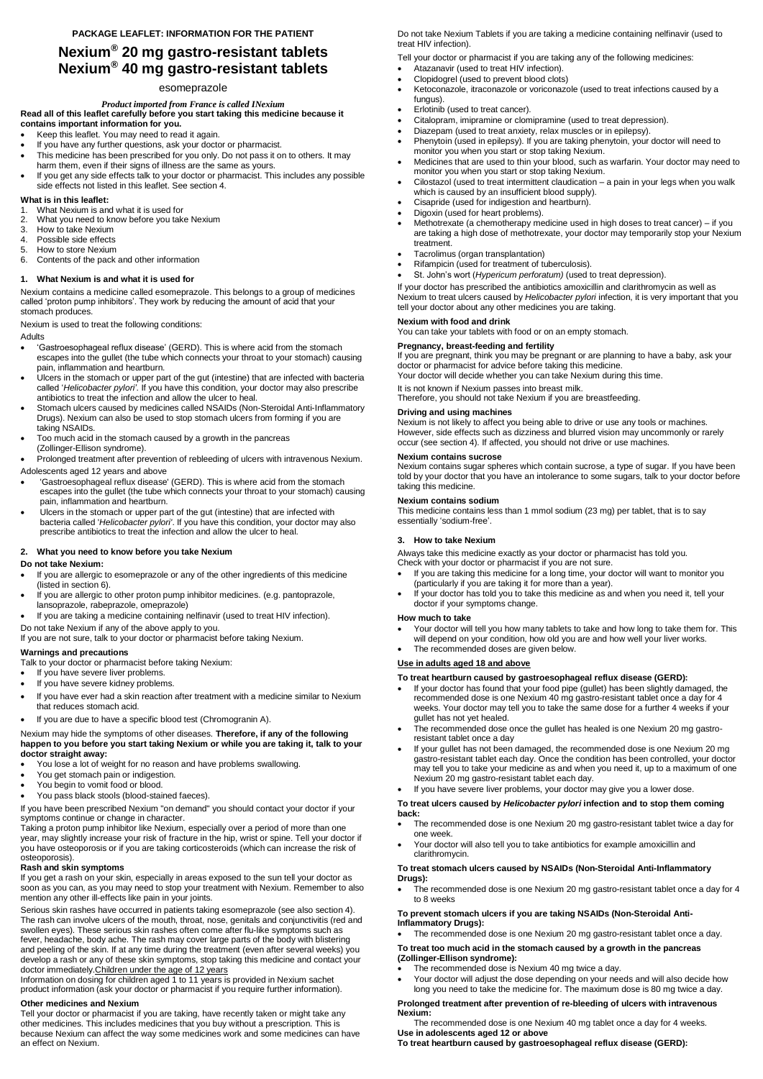# **Nexium® 20 mg gastro-resistant tablets Nexium® 40 mg gastro-resistant tablets**

# esomeprazole

*Product imported from France is called INexium* **Read all of this leaflet carefully before you start taking this medicine because it contains important information for you.**

- Keep this leaflet. You may need to read it again.
- If you have any further questions, ask your doctor or pharmacist.
- This medicine has been prescribed for you only. Do not pass it on to others. It may harm them, even if their signs of illness are the same as yours.
- If you get any side effects talk to your doctor or pharmacist. This includes any possible side effects not listed in this leaflet. See section 4.

# **What is in this leaflet:**

- 1. What Nexium is and what it is used for
- 2. What you need to know before you take Nexium
- 3. How to take Nexium
- 4. Possible side effects
- 5. How to store Nexium
- 6. Contents of the pack and other information

# **1. What Nexium is and what it is used for**

Nexium contains a medicine called esomeprazole. This belongs to a group of medicines called 'proton pump inhibitors'. They work by reducing the amount of acid that your stomach produces.

Nexium is used to treat the following conditions:

# Adults

- 'Gastroesophageal reflux disease' (GERD). This is where acid from the stomach escapes into the gullet (the tube which connects your throat to your stomach) causing pain, inflammation and heartburn.
- Ulcers in the stomach or upper part of the gut (intestine) that are infected with bacteria called '*Helicobacter pylori'*. If you have this condition, your doctor may also prescribe antibiotics to treat the infection and allow the ulcer to heal.
- Stomach ulcers caused by medicines called NSAIDs (Non-Steroidal Anti-Inflammatory Drugs). Nexium can also be used to stop stomach ulcers from forming if you are taking NSAIDs.
- Too much acid in the stomach caused by a growth in the pancreas (Zollinger-Ellison syndrome).

Prolonged treatment after prevention of rebleeding of ulcers with intravenous Nexium.

#### Adolescents aged 12 years and above

- 'Gastroesophageal reflux disease' (GERD). This is where acid from the stomach escapes into the gullet (the tube which connects your throat to your stomach) causing pain, inflammation and heartburn.
- Ulcers in the stomach or upper part of the gut (intestine) that are infected with bacteria called '*Helicobacter pylori'*. If you have this condition, your doctor may also prescribe antibiotics to treat the infection and allow the ulcer to heal.

# **2. What you need to know before you take Nexium**

#### **Do not take Nexium:**

- If you are allergic to esomeprazole or any of the other ingredients of this medicine (listed in section 6).
- If you are allergic to other proton pump inhibitor medicines. (e.g. pantoprazole, lansoprazole, rabeprazole, omeprazole)
- If you are taking a medicine containing nelfinavir (used to treat HIV infection).

#### Do not take Nexium if any of the above apply to you.

If you are not sure, talk to your doctor or pharmacist before taking Nexium.

# **Warnings and precautions**

Talk to your doctor or pharmacist before taking Nexium:

- If you have severe liver problems.
- If you have severe kidney problems.
- If you have ever had a skin reaction after treatment with a medicine similar to Nexium that reduces stomach acid.
- If you are due to have a specific blood test (Chromogranin A).

#### Nexium may hide the symptoms of other diseases. **Therefore, if any of the following happen to you before you start taking Nexium or while you are taking it, talk to your doctor straight away:**

- You lose a lot of weight for no reason and have problems swallowing.
- You get stomach pain or indigestion.
- You begin to vomit food or blood.
- You pass black stools (blood-stained faeces).

If you have been prescribed Nexium "on demand" you should contact your doctor if your

symptoms continue or change in character.

Taking a proton pump inhibitor like Nexium, especially over a period of more than one year, may slightly increase your risk of fracture in the hip, wrist or spine. Tell your doctor if you have osteoporosis or if you are taking corticosteroids (which can increase the risk of osteoporosis).

# **Rash and skin symptoms**

If you get a rash on your skin, especially in areas exposed to the sun tell your doctor as soon as you can, as you may need to stop your treatment with Nexium. Remember to also mention any other ill-effects like pain in your joints.

Serious skin rashes have occurred in patients taking esomeprazole (see also section 4). The rash can involve ulcers of the mouth, throat, nose, genitals and conjunctivitis (red and swollen eyes). These serious skin rashes often come after flu-like symptoms such as fever, headache, body ache. The rash may cover large parts of the body with blistering and peeling of the skin. If at any time during the treatment (even after several weeks) you develop a rash or any of these skin symptoms, stop taking this medicine and contact your doctor immediately.Children under the age of 12 years

• The recommended dose is one Nexium 20 mg gastro-resistant tablet once a day for 4 to 8 weeks

Information on dosing for children aged 1 to 11 years is provided in Nexium sachet product information (ask your doctor or pharmacist if you require further information).

# **Other medicines and Nexium**

Tell your doctor or pharmacist if you are taking, have recently taken or might take any other medicines. This includes medicines that you buy without a prescription. This is because Nexium can affect the way some medicines work and some medicines can have an effect on Nexium.

i, **To treat heartburn caused by gastroesophageal reflux disease (GERD):**

Do not take Nexium Tablets if you are taking a medicine containing nelfinavir (used to treat HIV infection).

Tell your doctor or pharmacist if you are taking any of the following medicines:

- Atazanavir (used to treat HIV infection).
- Clopidogrel (used to prevent blood clots)
- Ketoconazole, itraconazole or voriconazole (used to treat infections caused by a fungus).
- Erlotinib (used to treat cancer).
- Citalopram, imipramine or clomipramine (used to treat depression).
- Diazepam (used to treat anxiety, relax muscles or in epilepsy).
- Phenytoin (used in epilepsy). If you are taking phenytoin, your doctor will need to monitor you when you start or stop taking Nexium.
- Medicines that are used to thin your blood, such as warfarin. Your doctor may need to monitor you when you start or stop taking Nexium.
- Cilostazol (used to treat intermittent claudication a pain in your legs when you walk which is caused by an insufficient blood supply).
- Cisapride (used for indigestion and heartburn).
- Digoxin (used for heart problems).
- Methotrexate (a chemotherapy medicine used in high doses to treat cancer) if you are taking a high dose of methotrexate, your doctor may temporarily stop your Nexium treatment.
- Tacrolimus (organ transplantation)
- Rifampicin (used for treatment of tuberculosis).
- St. John's wort (*Hypericum perforatum)* (used to treat depression).

If your doctor has prescribed the antibiotics amoxicillin and clarithromycin as well as Nexium to treat ulcers caused by *Helicobacter pylori* infection, it is very important that you tell your doctor about any other medicines you are taking.

# **Nexium with food and drink**

You can take your tablets with food or on an empty stomach.

# **Pregnancy, breast-feeding and fertility**

If you are pregnant, think you may be pregnant or are planning to have a baby, ask your doctor or pharmacist for advice before taking this medicine.

Your doctor will decide whether you can take Nexium during this time.

It is not known if Nexium passes into breast milk.

Therefore, you should not take Nexium if you are breastfeeding.

#### **Driving and using machines**

Nexium is not likely to affect you being able to drive or use any tools or machines. However, side effects such as dizziness and blurred vision may uncommonly or rarely occur (see section 4). If affected, you should not drive or use machines.

#### **Nexium contains sucrose**

Nexium contains sugar spheres which contain sucrose, a type of sugar. If you have been told by your doctor that you have an intolerance to some sugars, talk to your doctor before taking this medicine.

#### **Nexium contains sodium**

This medicine contains less than 1 mmol sodium (23 mg) per tablet, that is to say essentially 'sodium-free'.

# **3. How to take Nexium**

Always take this medicine exactly as your doctor or pharmacist has told you. Check with your doctor or pharmacist if you are not sure.

- If you are taking this medicine for a long time, your doctor will want to monitor you (particularly if you are taking it for more than a year).
- If your doctor has told you to take this medicine as and when you need it, tell your doctor if your symptoms change.

#### **How much to take**

- Your doctor will tell you how many tablets to take and how long to take them for. This will depend on your condition, how old you are and how well your liver works.
- The recommended doses are given below.

#### **Use in adults aged 18 and above**

# **To treat heartburn caused by gastroesophageal reflux disease (GERD):**

- If your doctor has found that your food pipe (gullet) has been slightly damaged, the recommended dose is one Nexium 40 mg gastro-resistant tablet once a day for 4 weeks. Your doctor may tell you to take the same dose for a further 4 weeks if your gullet has not yet healed.
- The recommended dose once the gullet has healed is one Nexium 20 mg gastroresistant tablet once a day
- If your gullet has not been damaged, the recommended dose is one Nexium 20 mg gastro-resistant tablet each day. Once the condition has been controlled, your doctor may tell you to take your medicine as and when you need it, up to a maximum of one Nexium 20 mg gastro-resistant tablet each day.
	- If you have severe liver problems, your doctor may give you a lower dose.

# **To treat ulcers caused by** *Helicobacter pylori* **infection and to stop them coming back:**

- The recommended dose is one Nexium 20 mg gastro-resistant tablet twice a day for one week.
- Your doctor will also tell you to take antibiotics for example amoxicillin and clarithromycin.

#### **To treat stomach ulcers caused by NSAIDs (Non-Steroidal Anti-Inflammatory Drugs):**

# **To prevent stomach ulcers if you are taking NSAIDs (Non-Steroidal Anti-Inflammatory Drugs):**

The recommended dose is one Nexium 20 mg gastro-resistant tablet once a day.

#### **To treat too much acid in the stomach caused by a growth in the pancreas (Zollinger-Ellison syndrome):**

- The recommended dose is Nexium 40 mg twice a day.
- Your doctor will adjust the dose depending on your needs and will also decide how long you need to take the medicine for. The maximum dose is 80 mg twice a day.

#### **Prolonged treatment after prevention of re-bleeding of ulcers with intravenous Nexium:**

The recommended dose is one Nexium 40 mg tablet once a day for 4 weeks. **Use in adolescents aged 12 or above**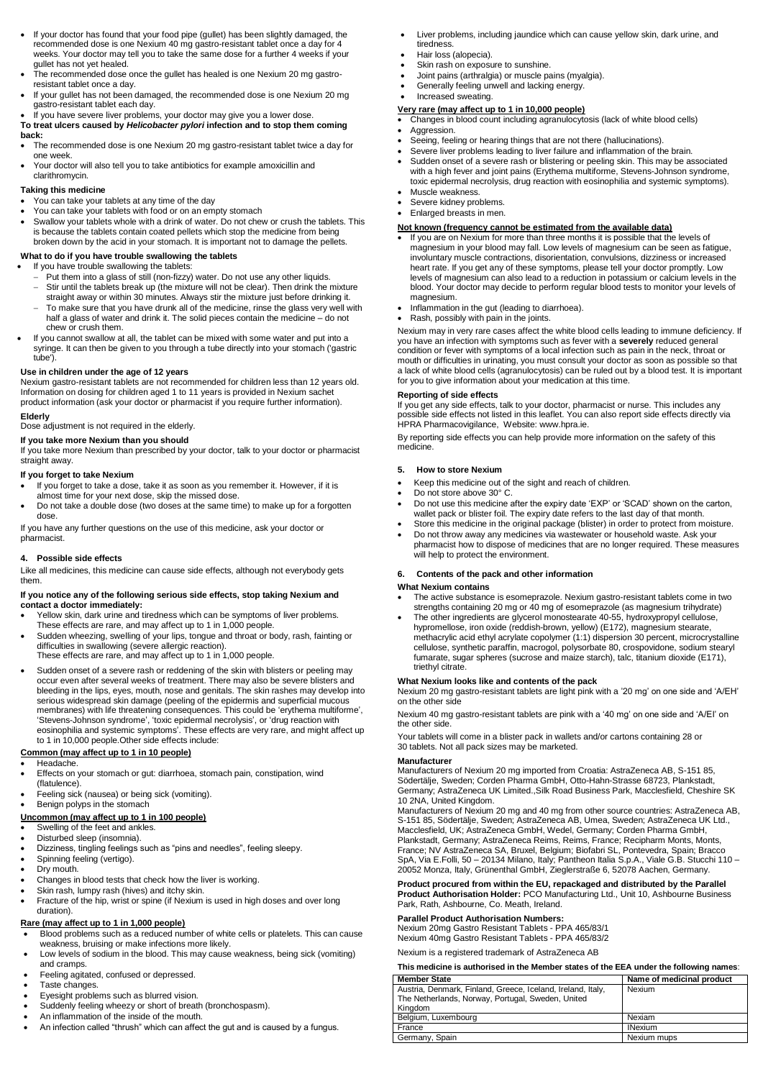- If your doctor has found that your food pipe (gullet) has been slightly damaged, the recommended dose is one Nexium 40 mg gastro-resistant tablet once a day for 4 weeks. Your doctor may tell you to take the same dose for a further 4 weeks if your gullet has not yet healed.
- The recommended dose once the gullet has healed is one Nexium 20 mg gastroresistant tablet once a day.
- If your gullet has not been damaged, the recommended dose is one Nexium 20 mg gastro-resistant tablet each day.
- If you have severe liver problems, your doctor may give you a lower dose.

#### **To treat ulcers caused by** *Helicobacter pylori* **infection and to stop them coming back:**

- The recommended dose is one Nexium 20 mg gastro-resistant tablet twice a day for one week.
- Your doctor will also tell you to take antibiotics for example amoxicillin and clarithromycin.

#### **Taking this medicine**

- You can take your tablets at any time of the day
- You can take your tablets with food or on an empty stomach
- Swallow your tablets whole with a drink of water. Do not chew or crush the tablets. This is because the tablets contain coated pellets which stop the medicine from being broken down by the acid in your stomach. It is important not to damage the pellets.

# **What to do if you have trouble swallowing the tablets**

- If you have trouble swallowing the tablets:
- Put them into a glass of still (non-fizzy) water. Do not use any other liquids. Stir until the tablets break up (the mixture will not be clear). Then drink the mixture straight away or within 30 minutes. Always stir the mixture just before drinking it.
- To make sure that you have drunk all of the medicine, rinse the glass very well with half a glass of water and drink it. The solid pieces contain the medicine – do not chew or crush them.
- If you cannot swallow at all, the tablet can be mixed with some water and put into a syringe. It can then be given to you through a tube directly into your stomach ('gastric tube').

# **Use in children under the age of 12 years**

Nexium gastro-resistant tablets are not recommended for children less than 12 years old. Information on dosing for children aged 1 to 11 years is provided in Nexium sachet product information (ask your doctor or pharmacist if you require further information).

#### **Elderly**

Dose adjustment is not required in the elderly.

- Swelling of the feet and ankles.
- Disturbed sleep (insomnia).
- Dizziness, tingling feelings such as "pins and needles", feeling sleepy.
- Spinning feeling (vertigo).
- Dry mouth.
- Changes in blood tests that check how the liver is working.
- Skin rash, lumpy rash (hives) and itchy skin.
- Fracture of the hip, wrist or spine (if Nexium is used in high doses and over long duration).

#### **If you take more Nexium than you should**

If you take more Nexium than prescribed by your doctor, talk to your doctor or pharmacist straight away.

#### **If you forget to take Nexium**

- If you forget to take a dose, take it as soon as you remember it. However, if it is almost time for your next dose, skip the missed dose.
- Do not take a double dose (two doses at the same time) to make up for a forgotten dose

If you have any further questions on the use of this medicine, ask your doctor or pharmacist.

- Changes in blood count including agranulocytosis (lack of white blood cells)
- Aggression.
- Seeing, feeling or hearing things that are not there (hallucinations).
- Severe liver problems leading to liver failure and inflammation of the brain.
- Sudden onset of a severe rash or blistering or peeling skin. This may be associated with a high fever and joint pains (Erythema multiforme, Stevens-Johnson syndrome, toxic epidermal necrolysis, drug reaction with eosinophilia and systemic symptoms).
- Muscle weakness.
- Severe kidney problems.
- Enlarged breasts in men.

# **4. Possible side effects**

Like all medicines, this medicine can cause side effects, although not everybody gets them.

#### **If you notice any of the following serious side effects, stop taking Nexium and contact a doctor immediately:**

- If you are on Nexium for more than three months it is possible that the levels of magnesium in your blood may fall. Low levels of magnesium can be seen as fatigue, involuntary muscle contractions, disorientation, convulsions, dizziness or increased heart rate. If you get any of these symptoms, please tell your doctor promptly. Low levels of magnesium can also lead to a reduction in potassium or calcium levels in the blood. Your doctor may decide to perform regular blood tests to monitor your levels of magnesium.
- Inflammation in the gut (leading to diarrhoea).
- Rash, possibly with pain in the joints.

- Yellow skin, dark urine and tiredness which can be symptoms of liver problems. These effects are rare, and may affect up to 1 in 1,000 people.
- Sudden wheezing, swelling of your lips, tongue and throat or body, rash, fainting or difficulties in swallowing (severe allergic reaction).
- These effects are rare, and may affect up to 1 in 1,000 people.
- Sudden onset of a severe rash or reddening of the skin with blisters or peeling may occur even after several weeks of treatment. There may also be severe blisters and bleeding in the lips, eyes, mouth, nose and genitals. The skin rashes may develop into serious widespread skin damage (peeling of the epidermis and superficial mucous membranes) with life threatening consequences. This could be 'erythema multiforme', 'Stevens-Johnson syndrome', 'toxic epidermal necrolysis', or 'drug reaction with eosinophilia and systemic symptoms'. These effects are very rare, and might affect up to 1 in 10,000 people.Other side effects include:

# **Common (may affect up to 1 in 10 people)**

- Headache.
- Effects on your stomach or gut: diarrhoea, stomach pain, constipation, wind (flatulence).
- Feeling sick (nausea) or being sick (vomiting).
- Benign polyps in the stomach
- 

#### **Uncommon (may affect up to 1 in 100 people)**

# **Rare (may affect up to 1 in 1,000 people)**

- Blood problems such as a reduced number of white cells or platelets. This can cause weakness, bruising or make infections more likely.
- Low levels of sodium in the blood. This may cause weakness, being sick (vomiting) and cramps.
- Feeling agitated, confused or depressed.
- Taste changes.
- Eyesight problems such as blurred vision.
- Suddenly feeling wheezy or short of breath (bronchospasm).
- An inflammation of the inside of the mouth.
- An infection called "thrush" which can affect the gut and is caused by a fungus.
- Liver problems, including jaundice which can cause yellow skin, dark urine, and tiredness.
- Hair loss (alopecia).
- Skin rash on exposure to sunshine.
- Joint pains (arthralgia) or muscle pains (myalgia).
- Generally feeling unwell and lacking energy.
- Increased sweating.

# **Very rare (may affect up to 1 in 10,000 people)**

# **Not known (frequency cannot be estimated from the available data)**

Nexium may in very rare cases affect the white blood cells leading to immune deficiency. If you have an infection with symptoms such as fever with a **severely** reduced general condition or fever with symptoms of a local infection such as pain in the neck, throat or mouth or difficulties in urinating, you must consult your doctor as soon as possible so that a lack of white blood cells (agranulocytosis) can be ruled out by a blood test. It is important for you to give information about your medication at this time.

# **Reporting of side effects**

If you get any side effects, talk to your doctor, pharmacist or nurse. This includes any possible side effects not listed in this leaflet. You can also report side effects directly via HPRA Pharmacovigilance, Website: www.hpra.ie.

By reporting side effects you can help provide more information on the safety of this medicine.

# **5. How to store Nexium**

- Keep this medicine out of the sight and reach of children.
- Do not store above 30° C.
- Do not use this medicine after the expiry date 'EXP' or 'SCAD' shown on the carton, wallet pack or blister foil. The expiry date refers to the last day of that month.
- Store this medicine in the original package (blister) in order to protect from moisture.
- Do not throw away any medicines via wastewater or household waste. Ask your pharmacist how to dispose of medicines that are no longer required. These measures will help to protect the environment.

# **6. Contents of the pack and other information**

# **What Nexium contains**

- The active substance is esomeprazole. Nexium gastro-resistant tablets come in two strengths containing 20 mg or 40 mg of esomeprazole (as magnesium trihydrate)
- The other ingredients are glycerol monostearate 40-55, hydroxypropyl cellulose, hypromellose, iron oxide (reddish-brown, yellow) (E172), magnesium stearate, methacrylic acid ethyl acrylate copolymer (1:1) dispersion 30 percent, microcrystalline cellulose, synthetic paraffin, macrogol, polysorbate 80, crospovidone, sodium stearyl fumarate, sugar spheres (sucrose and maize starch), talc, titanium dioxide (E171), triethyl citrate.

#### **What Nexium looks like and contents of the pack**

Nexium 20 mg gastro-resistant tablets are light pink with a '20 mg' on one side and 'A/EH' on the other side

Nexium 40 mg gastro-resistant tablets are pink with a '40 mg' on one side and 'A/EI' on the other side.

Your tablets will come in a blister pack in wallets and/or cartons containing 28 or 30 tablets. Not all pack sizes may be marketed.

#### **Manufacturer**

Manufacturers of Nexium 20 mg imported from Croatia: AstraZeneca AB, S-151 85, Södertälje, Sweden; Corden Pharma GmbH, Otto-Hahn-Strasse 68723, Plankstadt, Germany; AstraZeneca UK Limited.,Silk Road Business Park, Macclesfield, Cheshire SK 10 2NA, United Kingdom.

Manufacturers of Nexium 20 mg and 40 mg from other source countries: AstraZeneca AB,

S-151 85, Södertälje, Sweden; AstraZeneca AB, Umea, Sweden; AstraZeneca UK Ltd., Macclesfield, UK; AstraZeneca GmbH, Wedel, Germany; Corden Pharma GmbH, Plankstadt, Germany; AstraZeneca Reims, Reims, France; Recipharm Monts, Monts, France; NV AstraZeneca SA, Bruxel, Belgium; Biofabri SL, Pontevedra, Spain; Bracco SpA, Via E.Folli, 50 – 20134 Milano, Italy; Pantheon Italia S.p.A., Viale G.B. Stucchi 110 – 20052 Monza, Italy, Grünenthal GmbH, Zieglerstraße 6, 52078 Aachen, Germany.

#### **Product procured from within the EU, repackaged and distributed by the Parallel Product Authorisation Holder:** PCO Manufacturing Ltd., Unit 10, Ashbourne Business Park, Rath, Ashbourne, Co. Meath, Ireland.

### **Parallel Product Authorisation Numbers:**

Nexium 20mg Gastro Resistant Tablets - PPA 465/83/1 Nexium 40mg Gastro Resistant Tablets - PPA 465/83/2

Nexium is a registered trademark of AstraZeneca AB

**This medicine is authorised in the Member states of the EEA under the following names**:

| <b>Member State</b>                                         | Name of medicinal product |
|-------------------------------------------------------------|---------------------------|
| Austria, Denmark, Finland, Greece, Iceland, Ireland, Italy, | <b>Nexium</b>             |
| The Netherlands, Norway, Portugal, Sweden, United           |                           |
| Kingdom                                                     |                           |
| Belgium, Luxembourg                                         | Nexiam                    |
| France                                                      | <b>INexium</b>            |
| Germany, Spain                                              | Nexium mups               |